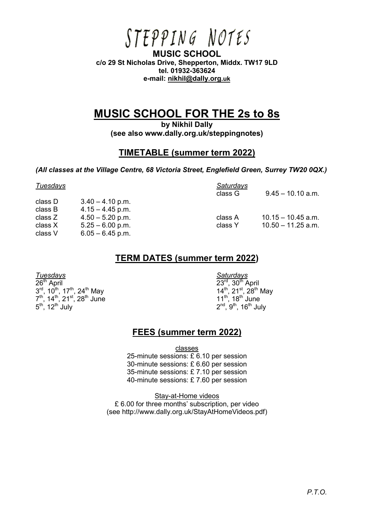# STEPPING NOTES

**MUSIC SCHOOL c/o 29 St Nicholas Drive, Shepperton, Middx. TW17 9LD tel. 01932-363624 e-mail: [nikhil@dally.org](mailto:nikhil@dally.org.uk).uk** 

## **MUSIC SCHOOL FOR THE 2s to 8s**

**by Nikhil Dally (see also www.dally.org.uk/steppingnotes)** 

#### **TIMETABLE (summer term 2022)**

*(All classes at the Village Centre, 68 Victoria Street, Englefield Green, Surrey TW20 0QX.)* 

| Tuesdays |                    | <b>Saturdays</b> |                      |
|----------|--------------------|------------------|----------------------|
|          |                    | class G          | $9.45 - 10.10$ a.m.  |
| class D  | $3.40 - 4.10$ p.m. |                  |                      |
| class B  | $4.15 - 4.45$ p.m. |                  |                      |
| class Z  | $4.50 - 5.20$ p.m. | class A          | $10.15 - 10.45$ a.m. |
| class X  | $5.25 - 6.00$ p.m. | class Y          | $10.50 - 11.25$ a.m. |
| class V  | $6.05 - 6.45$ p.m. |                  |                      |

#### **TERM DATES (summer term 2022)**

 $26<sup>th</sup>$  April  $23<sup>rd</sup>$  $3^{\text{rd}}$ , 10<sup>th</sup>, 17<sup>th</sup>, 24<sup>th</sup> May 14<sup>th</sup>  $7<sup>th</sup>$ , 14<sup>th</sup>, 21<sup>st</sup>, 28<sup>th</sup> June 11<sup>th</sup>, 18<sup>th</sup> June  $5^{\text{th}}$ , 12<sup>th</sup> July 2<sup>nd</sup>, 9<sup>th</sup>, 16<sup>th</sup> July

*Tuesdays Saturdays*  ,  $30<sup>th</sup>$  April  $14^{\text{th}}$ , 21st, 28<sup>th</sup> May<br>11<sup>th</sup>, 18<sup>th</sup> June

### **FEES (summer term 2022)**

classes

25-minute sessions:  $\widehat{\mathcal{E}}$  6.10 per session 30-minute sessions: £ 6.60 per session 35-minute sessions: £ 7.10 per session 40-minute sessions: £ 7.60 per session

Stay-at-Home videos £ 6.00 for three months' subscription, per video (see http://www.dally.org.uk/StayAtHomeVideos.pdf)